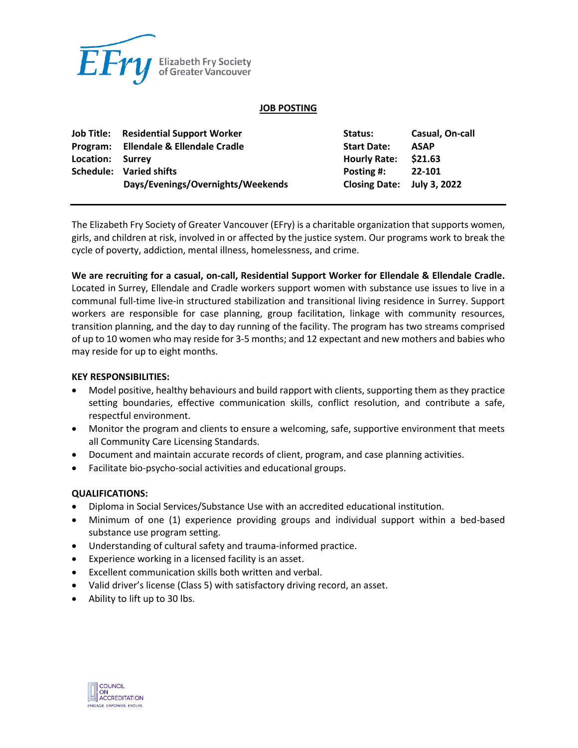

### **JOB POSTING**

|                  | <b>Job Title:</b> Residential Support Worker | Status:                    | Casual, On-call |
|------------------|----------------------------------------------|----------------------------|-----------------|
|                  | Program: Ellendale & Ellendale Cradle        | <b>Start Date:</b>         | <b>ASAP</b>     |
| Location: Surrey |                                              | <b>Hourly Rate:</b>        | \$21.63         |
|                  | Schedule: Varied shifts                      | Posting #:                 | 22-101          |
|                  | Days/Evenings/Overnights/Weekends            | Closing Date: July 3, 2022 |                 |

The Elizabeth Fry Society of Greater Vancouver (EFry) is a charitable organization that supports women, girls, and children at risk, involved in or affected by the justice system. Our programs work to break the cycle of poverty, addiction, mental illness, homelessness, and crime.

**We are recruiting for a casual, on-call, Residential Support Worker for Ellendale & Ellendale Cradle.** Located in Surrey, Ellendale and Cradle workers support women with substance use issues to live in a communal full-time live-in structured stabilization and transitional living residence in Surrey. Support workers are responsible for case planning, group facilitation, linkage with community resources, transition planning, and the day to day running of the facility. The program has two streams comprised of up to 10 women who may reside for 3-5 months; and 12 expectant and new mothers and babies who may reside for up to eight months.

#### **KEY RESPONSIBILITIES:**

- Model positive, healthy behaviours and build rapport with clients, supporting them as they practice setting boundaries, effective communication skills, conflict resolution, and contribute a safe, respectful environment.
- Monitor the program and clients to ensure a welcoming, safe, supportive environment that meets all Community Care Licensing Standards.
- Document and maintain accurate records of client, program, and case planning activities.
- Facilitate bio-psycho-social activities and educational groups.

# **QUALIFICATIONS:**

- Diploma in Social Services/Substance Use with an accredited educational institution.
- Minimum of one (1) experience providing groups and individual support within a bed-based substance use program setting.
- Understanding of cultural safety and trauma-informed practice.
- Experience working in a licensed facility is an asset.
- Excellent communication skills both written and verbal.
- Valid driver's license (Class 5) with satisfactory driving record, an asset.
- Ability to lift up to 30 lbs.